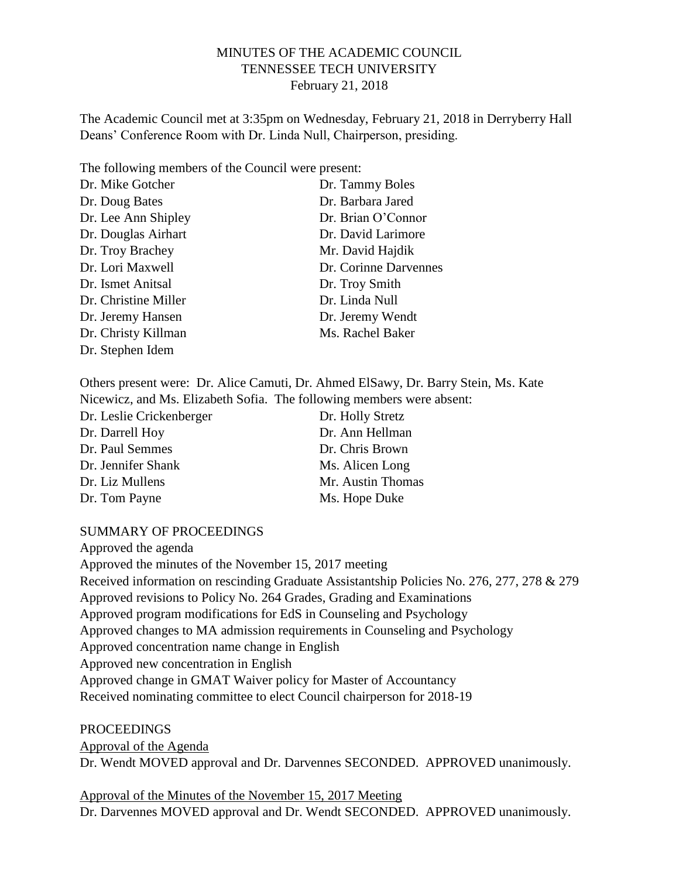#### MINUTES OF THE ACADEMIC COUNCIL TENNESSEE TECH UNIVERSITY February 21, 2018

The Academic Council met at 3:35pm on Wednesday, February 21, 2018 in Derryberry Hall Deans' Conference Room with Dr. Linda Null, Chairperson, presiding.

| The following members of the Council were present: |                       |
|----------------------------------------------------|-----------------------|
| Dr. Mike Gotcher                                   | Dr. Tammy Boles       |
| Dr. Doug Bates                                     | Dr. Barbara Jared     |
| Dr. Lee Ann Shipley                                | Dr. Brian O'Connor    |
| Dr. Douglas Airhart                                | Dr. David Larimore    |
| Dr. Troy Brachey                                   | Mr. David Hajdik      |
| Dr. Lori Maxwell                                   | Dr. Corinne Darvennes |
| Dr. Ismet Anitsal                                  | Dr. Troy Smith        |
| Dr. Christine Miller                               | Dr. Linda Null        |
| Dr. Jeremy Hansen                                  | Dr. Jeremy Wendt      |
| Dr. Christy Killman                                | Ms. Rachel Baker      |
| Dr. Stephen Idem                                   |                       |
|                                                    |                       |

Others present were: Dr. Alice Camuti, Dr. Ahmed ElSawy, Dr. Barry Stein, Ms. Kate Nicewicz, and Ms. Elizabeth Sofia. The following members were absent:

| Dr. Leslie Crickenberger | Dr. Holly Stretz  |
|--------------------------|-------------------|
| Dr. Darrell Hoy          | Dr. Ann Hellman   |
| Dr. Paul Semmes          | Dr. Chris Brown   |
| Dr. Jennifer Shank       | Ms. Alicen Long   |
| Dr. Liz Mullens          | Mr. Austin Thomas |
| Dr. Tom Payne            | Ms. Hope Duke     |

#### SUMMARY OF PROCEEDINGS

Approved the agenda Approved the minutes of the November 15, 2017 meeting Received information on rescinding Graduate Assistantship Policies No. 276, 277, 278 & 279 Approved revisions to Policy No. 264 Grades, Grading and Examinations Approved program modifications for EdS in Counseling and Psychology Approved changes to MA admission requirements in Counseling and Psychology Approved concentration name change in English Approved new concentration in English Approved change in GMAT Waiver policy for Master of Accountancy Received nominating committee to elect Council chairperson for 2018-19

PROCEEDINGS Approval of the Agenda Dr. Wendt MOVED approval and Dr. Darvennes SECONDED. APPROVED unanimously.

Approval of the Minutes of the November 15, 2017 Meeting Dr. Darvennes MOVED approval and Dr. Wendt SECONDED. APPROVED unanimously.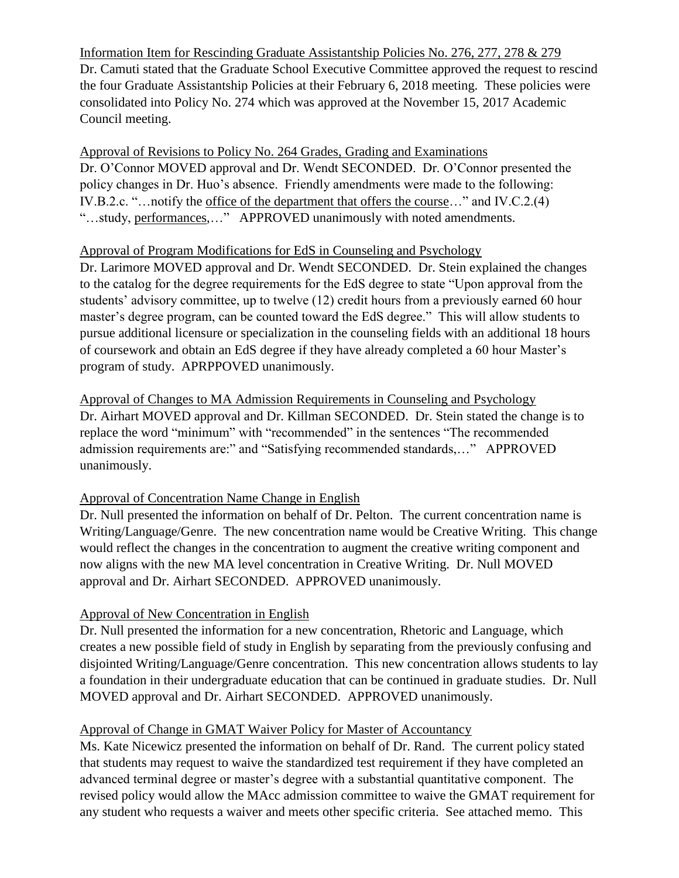Information Item for Rescinding Graduate Assistantship Policies No. 276, 277, 278 & 279 Dr. Camuti stated that the Graduate School Executive Committee approved the request to rescind the four Graduate Assistantship Policies at their February 6, 2018 meeting. These policies were consolidated into Policy No. 274 which was approved at the November 15, 2017 Academic Council meeting.

Approval of Revisions to Policy No. 264 Grades, Grading and Examinations Dr. O'Connor MOVED approval and Dr. Wendt SECONDED. Dr. O'Connor presented the policy changes in Dr. Huo's absence. Friendly amendments were made to the following: IV.B.2.c. "…notify the office of the department that offers the course…" and IV.C.2.(4) "…study, performances,…" APPROVED unanimously with noted amendments.

### Approval of Program Modifications for EdS in Counseling and Psychology

Dr. Larimore MOVED approval and Dr. Wendt SECONDED. Dr. Stein explained the changes to the catalog for the degree requirements for the EdS degree to state "Upon approval from the students' advisory committee, up to twelve (12) credit hours from a previously earned 60 hour master's degree program, can be counted toward the EdS degree." This will allow students to pursue additional licensure or specialization in the counseling fields with an additional 18 hours of coursework and obtain an EdS degree if they have already completed a 60 hour Master's program of study. APRPPOVED unanimously.

Approval of Changes to MA Admission Requirements in Counseling and Psychology Dr. Airhart MOVED approval and Dr. Killman SECONDED. Dr. Stein stated the change is to replace the word "minimum" with "recommended" in the sentences "The recommended admission requirements are:" and "Satisfying recommended standards,…" APPROVED unanimously.

# Approval of Concentration Name Change in English

Dr. Null presented the information on behalf of Dr. Pelton. The current concentration name is Writing/Language/Genre. The new concentration name would be Creative Writing. This change would reflect the changes in the concentration to augment the creative writing component and now aligns with the new MA level concentration in Creative Writing. Dr. Null MOVED approval and Dr. Airhart SECONDED. APPROVED unanimously.

# Approval of New Concentration in English

Dr. Null presented the information for a new concentration, Rhetoric and Language, which creates a new possible field of study in English by separating from the previously confusing and disjointed Writing/Language/Genre concentration. This new concentration allows students to lay a foundation in their undergraduate education that can be continued in graduate studies. Dr. Null MOVED approval and Dr. Airhart SECONDED. APPROVED unanimously.

# Approval of Change in GMAT Waiver Policy for Master of Accountancy

Ms. Kate Nicewicz presented the information on behalf of Dr. Rand. The current policy stated that students may request to waive the standardized test requirement if they have completed an advanced terminal degree or master's degree with a substantial quantitative component. The revised policy would allow the MAcc admission committee to waive the GMAT requirement for any student who requests a waiver and meets other specific criteria. See attached memo. This